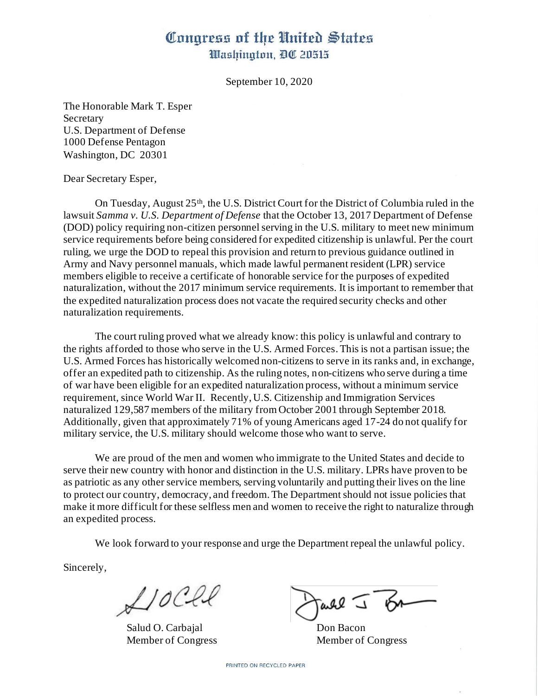## Congress of the United States Washington, DC 20515

September 10, 2020

The Honorable Mark T. Esper Secretary U.S. Department of Defense 1000 Defense Pentagon Washington, DC 20301

Dear Secretary Esper,

On Tuesday, August 25<sup>th</sup>, the U.S. District Court for the District of Columbia ruled in the lawsuit *Samma v. U.S. Department of Defense* that the October 13, 2017 Department of Defense (DOD) policy requiring non-citizen personnel serving in the U.S. military to meet new minimum service requirements before being considered for expedited citizenship is unlawful. Per the court ruling, we urge the DOD to repeal this provision and return to previous guidance outlined in Army and Navy personnel manuals, which made lawful permanent resident (LPR) service members eligible to receive a certificate of honorable service for the purposes of expedited naturalization, without the 2017 minimum service requirements. It is important to remember that the expedited naturalization process does not vacate the required security checks and other naturalization requirements.

The court ruling proved what we already know: this policy is unlawful and contrary to the rights afforded to those who serve in the U.S. Armed Forces.This is not a partisan issue; the U.S. Armed Forces has historically welcomed non-citizens to serve in its ranks and, in exchange, offer an expedited path to citizenship. As the ruling notes, non-citizens who serve during a time of war have been eligible for an expedited naturalization process, without a minimum service requirement, since World War II. Recently, U.S. Citizenship and Immigration Services naturalized 129,587 members of the military from October 2001 through September 2018. Additionally, given that approximately 71% of young Americans aged 17-24 do not qualify for military service, the U.S. military should welcome those who want to serve.

We are proud of the men and women who immigrate to the United States and decide to serve their new country with honor and distinction in the U.S. military. LPRs have proven to be as patriotic as any other service members, serving voluntarily and putting their lives on the line to protect our country, democracy, and freedom. The Department should not issue policies that make it more difficult for these selfless men and women to receive the right to naturalize through an expedited process.

We look forward to your response and urge the Department repeal the unlawful policy.

Sincerely,

 $A$ 10Cll

Salud O. Carbajal Don Bacon

Tarle J BA

Member of Congress Member of Congress

PRINTED ON RECYCLED PAPER